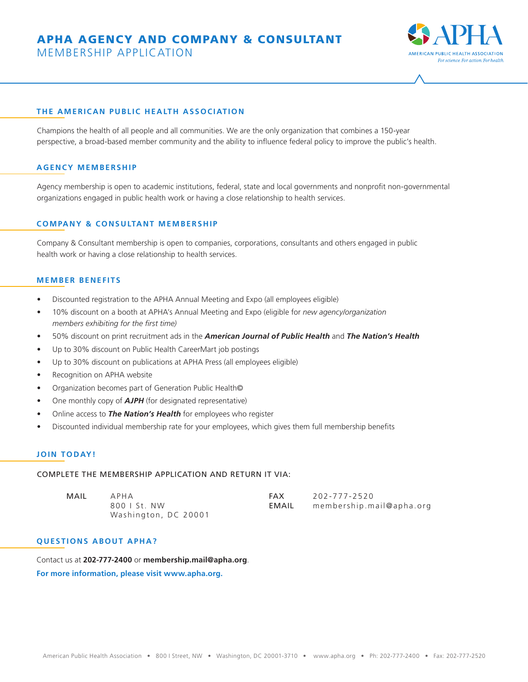# APHA AGENCY AND COMPANY & CONSULTANT

MEMBERSHIP APPLICATION



#### **THE AMERICAN PUBLIC HEALTH ASSOCIATION**

Champions the health of all people and all communities. We are the only organization that combines a 150-year perspective, a broad-based member community and the ability to influence federal policy to improve the public's health.

### **AGENCY MEMBERSHIP**

Agency membership is open to academic institutions, federal, state and local governments and nonprofit non-governmental organizations engaged in public health work or having a close relationship to health services.

#### **COMPANY & CONSULTANT MEMBERSHIP**

Company & Consultant membership is open to companies, corporations, consultants and others engaged in public health work or having a close relationship to health services.

# **MEMBER BENEFITS**

- Discounted registration to the APHA Annual Meeting and Expo (all employees eligible)
- 10% discount on a booth at APHA's Annual Meeting and Expo (eligible for *new agency/organization members exhibiting for the first time)*
- 50% discount on print recruitment ads in the *American Journal of Public Health* and *The Nation's Health*
- Up to 30% discount on Public Health CareerMart job postings
- Up to 30% discount on publications at APHA Press (all employees eligible)
- Recognition on APHA website
- Organization becomes part of Generation Public Health©
- One monthly copy of *AJPH* (for designated representative)
- Online access to *The Nation's Health* for employees who register
- Discounted individual membership rate for your employees, which gives them full membership benefits

#### **JOIN TODAY!**

# COMPLETE THE MEMBERSHIP APPLICATION AND RETURN IT VIA:

| MAIL | APHA                 | FAX          | 202-777-2520             |
|------|----------------------|--------------|--------------------------|
|      | 800   St. NW         | <b>EMAIL</b> | membership.mail@apha.org |
|      | Washington, DC 20001 |              |                          |

#### **QUESTIONS ABOUT APHA?**

Contact us at **202-777-2400** or **membership.mail@apha.org**. **For more information, please visit www.apha.org.**